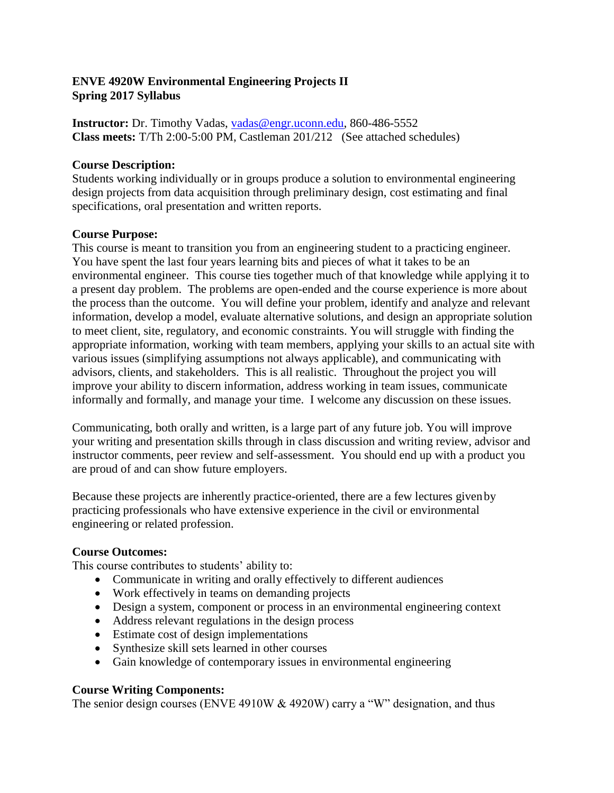## **ENVE 4920W Environmental Engineering Projects II Spring 2017 Syllabus**

**Instructor:** Dr. Timothy Vadas, [vadas@engr.uconn.edu,](mailto:vadas@engr.uconn.edu) 860-486-5552 **Class meets:** T/Th 2:00-5:00 PM, Castleman 201/212 (See attached schedules)

### **Course Description:**

Students working individually or in groups produce a solution to environmental engineering design projects from data acquisition through preliminary design, cost estimating and final specifications, oral presentation and written reports.

### **Course Purpose:**

This course is meant to transition you from an engineering student to a practicing engineer. You have spent the last four years learning bits and pieces of what it takes to be an environmental engineer. This course ties together much of that knowledge while applying it to a present day problem. The problems are open-ended and the course experience is more about the process than the outcome. You will define your problem, identify and analyze and relevant information, develop a model, evaluate alternative solutions, and design an appropriate solution to meet client, site, regulatory, and economic constraints. You will struggle with finding the appropriate information, working with team members, applying your skills to an actual site with various issues (simplifying assumptions not always applicable), and communicating with advisors, clients, and stakeholders. This is all realistic. Throughout the project you will improve your ability to discern information, address working in team issues, communicate informally and formally, and manage your time. I welcome any discussion on these issues.

Communicating, both orally and written, is a large part of any future job. You will improve your writing and presentation skills through in class discussion and writing review, advisor and instructor comments, peer review and self-assessment. You should end up with a product you are proud of and can show future employers.

Because these projects are inherently practice-oriented, there are a few lectures givenby practicing professionals who have extensive experience in the civil or environmental engineering or related profession.

### **Course Outcomes:**

This course contributes to students' ability to:

- Communicate in writing and orally effectively to different audiences
- Work effectively in teams on demanding projects
- Design a system, component or process in an environmental engineering context
- Address relevant regulations in the design process
- Estimate cost of design implementations
- Synthesize skill sets learned in other courses
- Gain knowledge of contemporary issues in environmental engineering

## **Course Writing Components:**

The senior design courses (ENVE 4910W & 4920W) carry a "W" designation, and thus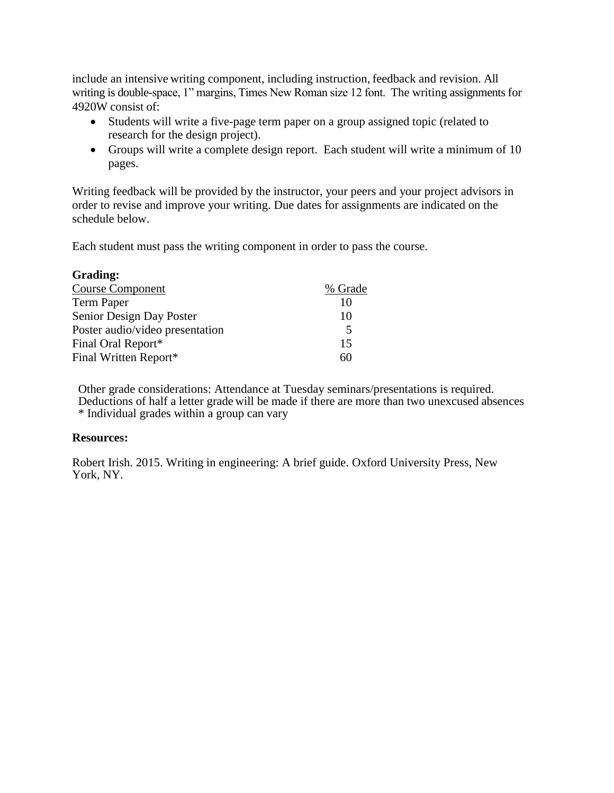include an intensive writing component, including instruction, feedback and revision. All writing is double-space, 1" margins, Times New Roman size 12 font. The writing assignments for 4920W consist of:

- Students will write a five-page term paper on a group assigned topic (related to research for the design project).
- Groups will write a complete design report. Each student will write a minimum of 10 pages.

Writing feedback will be provided by the instructor, your peers and your project advisors in order to revise and improve your writing. Due dates for assignments are indicated on the schedule below.

Each student must pass the writing component in order to pass the course.

| Grading:                        |         |
|---------------------------------|---------|
| <b>Course Component</b>         | % Grade |
| Term Paper                      | 10      |
| Senior Design Day Poster        | 10      |
| Poster audio/video presentation | 5       |
| Final Oral Report*              | 15      |
| Final Written Report*           | 60      |

Other grade considerations: Attendance at Tuesday seminars/presentations is required. Deductions of half a letter grade will be made if there are more than two unexcused absences \* Individual grades within a group can vary

### **Resources:**

Robert Irish. 2015. Writing in engineering: A brief guide. Oxford University Press, New York, NY.